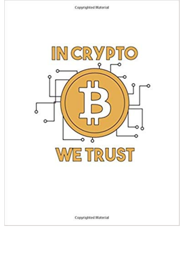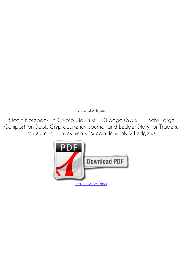*CryptoLedgers*

**Bitcoin Notebook: In Crypto We Trust 110 page (8.5 x 11 inch) Large Composition Book, Cryptocurrency Journal and Ledger Diary for Traders, Miners and ... Investments (Bitcoin Journals & Ledgers)**

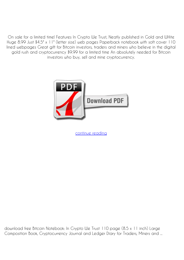On sale for a limited time! Features In Crypto We Trust, Neatly published in Gold and WHite Huge 8.99 Just \$4.5" x 11" (letter size) web pages Paperback notebook with soft cover 110 lined webpages Great gift for Bitcoin investors, traders and miners who believe in the digital gold rush and cryptocurrency \$9.99 for a limited time An absolutely needed for Bitcoin investors who buy, sell and mine cryptocurrency.



[continue reading](http://bit.ly/2Tge8Fv)

download free Bitcoin Notebook: In Crypto We Trust 110 page (8.5 x 11 inch) Large Composition Book, Cryptocurrency Journal and Ledger Diary for Traders, Miners and ...